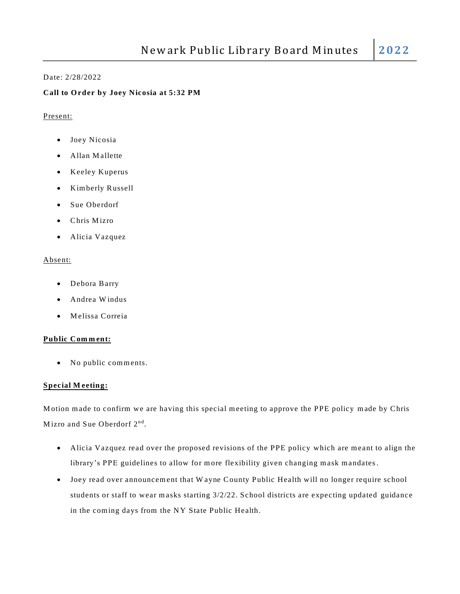## Date: 2/28/2022

# **Call to O rder by Joey Nicosia at 5:32 PM**

#### Present:

- Joey Nicosia
- Allan M allette
- Keeley Kuperus
- Kim berly Russell
- Sue Oberdorf
- Chris Mizro
- Alicia Vazquez

#### Absent:

- Debora Barry
- Andrea W indus
- M elissa Correia

## **Public Com m ent:**

• No public comments.

## **Special M eeting:**

Motion made to confirm we are having this special meeting to approve the PPE policy made by Chris Mizro and Sue Oberdorf 2<sup>nd</sup>.

- Alicia Vazquez read over the proposed revisions of the PPE policy which are meant to align the library's PPE guidelines to allow for more flexibility given changing mask mandates.
- Joey read over announcement that W ayne County Public Health will no longer require school students or staff to wear masks starting 3/2/22. School districts are expecting updated guidance in the coming days from the NY State Public Health.